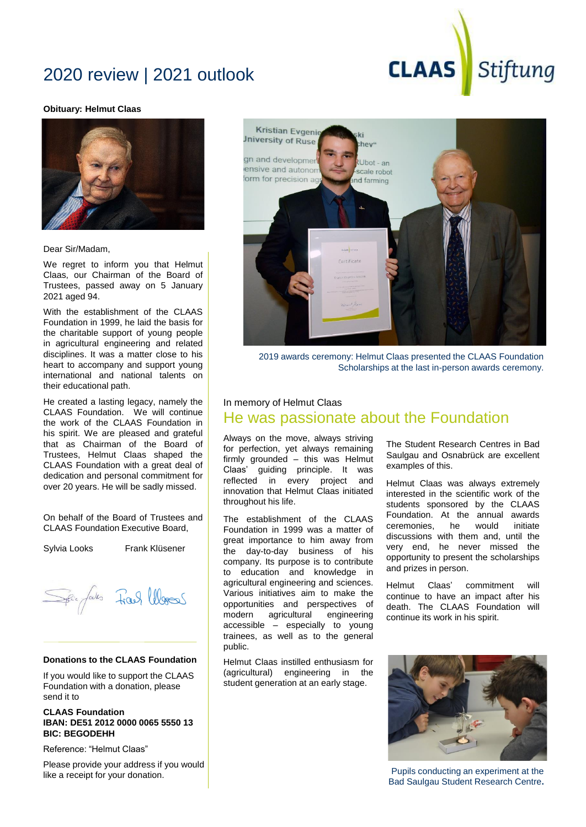# 2020 review | 2021 outlook

#### **Obituary: Helmut Claas**



Dear Sir/Madam,

We regret to inform you that Helmut Claas, our Chairman of the Board of Trustees, passed away on 5 January 2021 aged 94.

With the establishment of the CLAAS Foundation in 1999, he laid the basis for the charitable support of young people in agricultural engineering and related disciplines. It was a matter close to his heart to accompany and support young international and national talents on their educational path.

He created a lasting legacy, namely the CLAAS Foundation. We will continue the work of the CLAAS Foundation in his spirit. We are pleased and grateful that as Chairman of the Board of Trustees, Helmut Claas shaped the CLAAS Foundation with a great deal of dedication and personal commitment for over 20 years. He will be sadly missed.

On behalf of the Board of Trustees and CLAAS Foundation Executive Board,

Sylvia Looks Frank Klüsener

pei fals Frank Words

### **Donations to the CLAAS Foundation**

If you would like to support the CLAAS Foundation with a donation, please send it to

### **CLAAS Foundation IBAN: DE51 2012 0000 0065 5550 13 BIC: BEGODEHH**

Reference: "Helmut Claas"

Please provide your address if you would like a receipt for your donation.



**CLAAS** 

2019 awards ceremony: Helmut Claas presented the CLAAS Foundation Scholarships at the last in-person awards ceremony.

### In memory of Helmut Claas

### He was passionate about the Foundation

Always on the move, always striving for perfection, yet always remaining firmly grounded – this was Helmut Claas' guiding principle. It was reflected in every project and innovation that Helmut Claas initiated throughout his life.

The establishment of the CLAAS Foundation in 1999 was a matter of great importance to him away from the day-to-day business of his company. Its purpose is to contribute to education and knowledge in agricultural engineering and sciences. Various initiatives aim to make the opportunities and perspectives of modern agricultural engineering accessible – especially to young trainees, as well as to the general public.

Helmut Claas instilled enthusiasm for (agricultural) engineering in the student generation at an early stage.

The Student Research Centres in Bad Saulgau and Osnabrück are excellent examples of this.

Stiftung

Helmut Claas was always extremely interested in the scientific work of the students sponsored by the CLAAS Foundation. At the annual awards ceremonies, he would initiate discussions with them and, until the very end, he never missed the opportunity to present the scholarships and prizes in person.

Helmut Claas' commitment will continue to have an impact after his death. The CLAAS Foundation will continue its work in his spirit.



Pupils conducting an experiment at the Bad Saulgau Student Research Centre**.**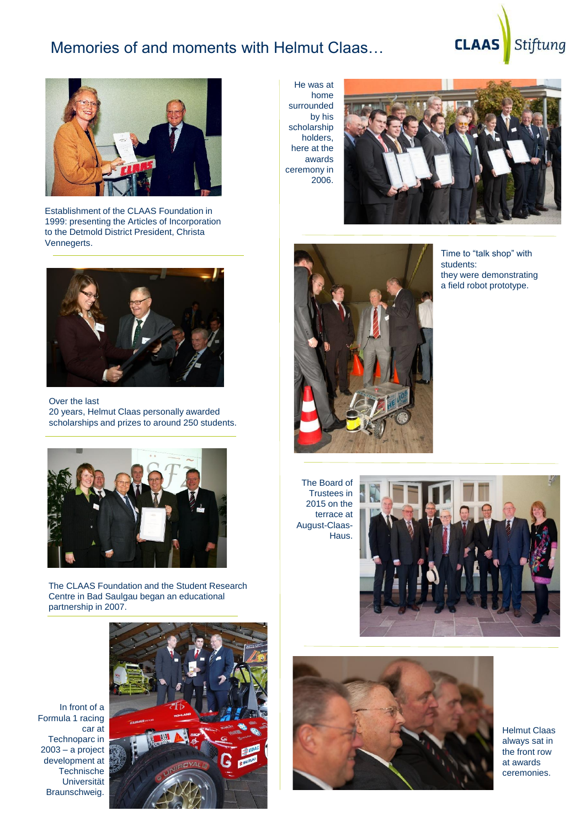## Memories of and moments with Helmut Claas…

# Stiftung **CLAAS**



Establishment of the CLAAS Foundation in 1999: presenting the Articles of Incorporation to the Detmold District President, Christa Vennegerts.



Over the last 20 years, Helmut Claas personally awarded scholarships and prizes to around 250 students.



The CLAAS Foundation and the Student Research Centre in Bad Saulgau began an educational partnership in 2007.

In front of a Formula 1 racing car at Technoparc in 2003 – a project development at **Technische** Universität Braunschweig.



He was at home surrounded by his scholarship holders, here at the awards ceremony in 2006.





Time to "talk shop" with students: they were demonstrating a field robot prototype.

The Board of Trustees in 2015 on the terrace at August-Claas-Haus.





Helmut Claas always sat in the front row at awards ceremonies.